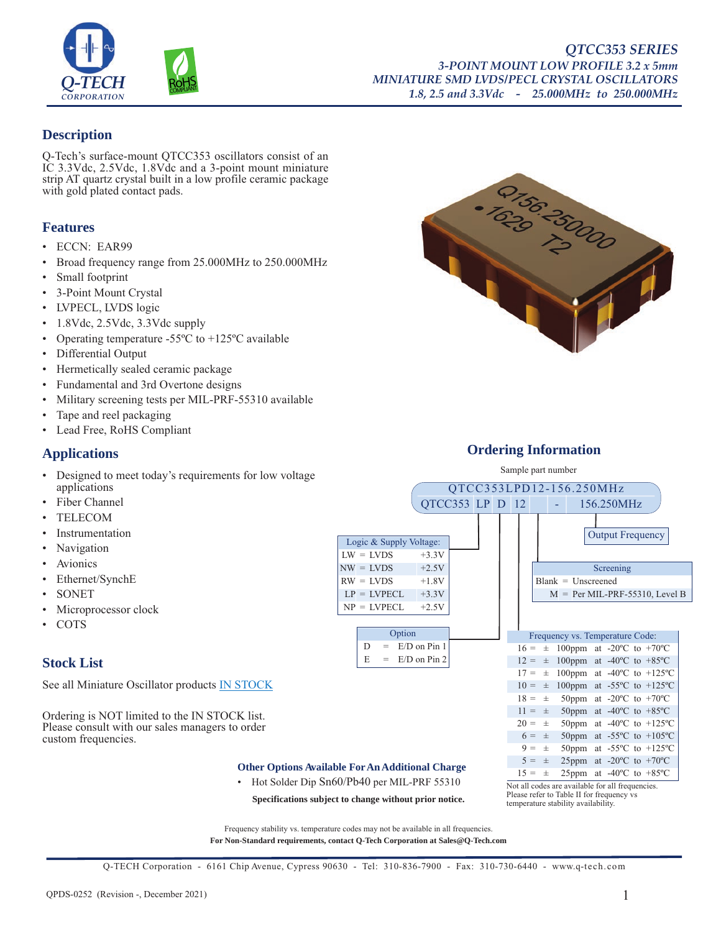

### **Description**

Q-Tech's surface-mount QTCC353 oscillators consist of an IC 3.3Vdc, 2.5Vdc, 1.8Vdc and a 3-point mount miniature strip AT quartz crystal built in a low profile ceramic package with gold plated contact pads.

### **Features**

- ECCN: EAR99
- Broad frequency range from 25.000MHz to 250.000MHz
- Small footprint
- 3-Point Mount Crystal
- LVPECL, LVDS logic
- 1.8Vdc, 2.5Vdc, 3.3Vdc supply
- Operating temperature -55°C to +125°C available
- Differential Output
- Hermetically sealed ceramic package
- Fundamental and 3rd Overtone designs
- Military screening tests per MIL-PRF-55310 available
- Tape and reel packaging
- Lead Free, RoHS Compliant

### **Applications**

- Designed to meet today's requirements for low voltage applications
- Fiber Channel
- **TELECOM**
- **Instrumentation**
- Navigation
- **Avionics**
- Ethernet/SynchE
- **SONET**
- Microprocessor clock
- COTS

# Stock List  $E = E/D$  on Pin 2

See all Miniature Oscillator products **IN STOCK** 

Ordering is NOT limited to the IN STOCK list. Please consult with our sales managers to order custom frequencies.

#### **Other Options Available For An Additional Charge**

Logic & Supply Voltage:  $LW = LVDS +3.3V$  $NW = LVDS +2.5V$  $RW = LVDS +1.8V$  $LP = LVPECL +3.3V$  $NP = LVPECL +2.5V$ 

> Option  $D = E/D$  on Pin 1

• Hot Solder Dip Sn60/Pb40 per MIL-PRF 55310

**Specifications subject to change without prior notice.**



Frequency vs. Temperature Code:  $16 = \pm 100$ ppm at -20 $^{\circ}$ C to +70 $^{\circ}$ C  $12 = \pm 100$ ppm at -40°C to +85°C  $17 = \pm 100$ ppm at -40°C to +125°C  $10 = \pm 100$ ppm at -55°C to +125°C  $18 = \pm 50$ ppm at -20°C to +70°C  $11 = \pm 50$ ppm at -40°C to +85°C  $20 = \pm 50$ ppm at -40°C to +125°C  $6 = \pm 50$ ppm at -55°C to +105°C  $9 = \pm 50$ ppm at -55°C to +125°C  $5 = \pm 25$ ppm at -20°C to +70°C

Blank = Unscreened

Frequency stability vs. temperature codes may not be available in all frequencies. **For Non-Standard requirements, contact Q-Tech Corporation at Sales@Q-Tech.com**

Q-TECH Corporation - 6161 Chip Avenue, Cypress 90630 - Tel: 310-836-7900 - Fax: 310-730-6440 - www.q-tech.com



### **Ordering Information** Sample part number

QTCC353LPD12-156.250MHz QTCC353 LP D 12 - 156.250MHz

Output Frequency

Screening

 $M = Per MIL-PRF-55310, Level B$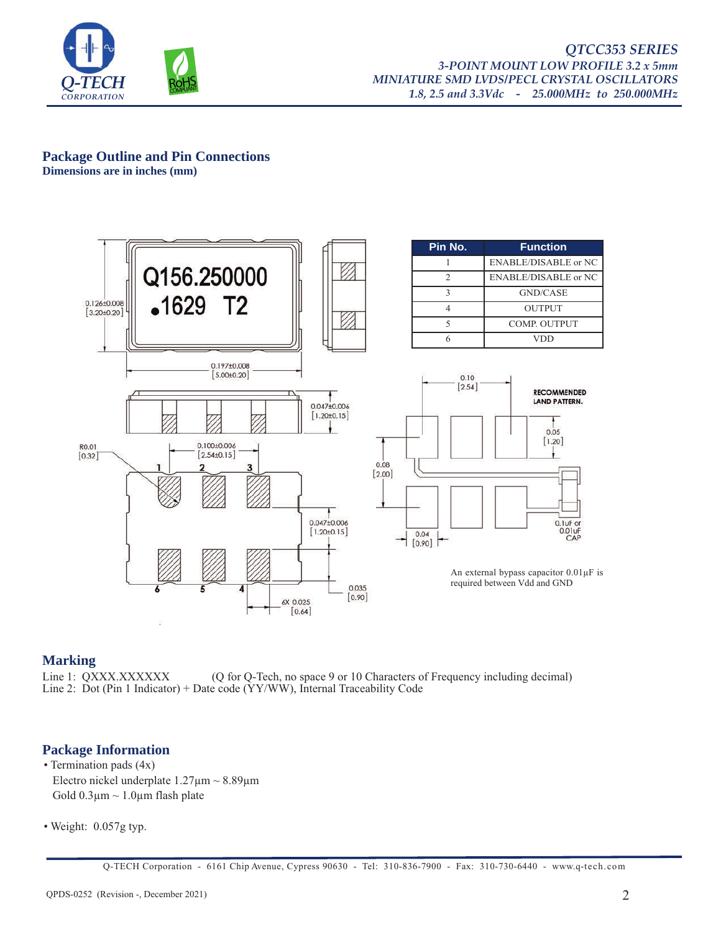

#### *QTCC353 SERIES 3-POINT MOUNT LOW PROFILE 3.2 x 5mm MINIATURE SMD LVDS/PECL CRYSTAL OSCILLATORS 1.8, 2.5 and 3.3Vdc - 25.000MHz to 250.000MHz*

#### **Package Outline and Pin Connections Dimensions are in inches (mm)**



### **Marking**

Line 1: QXXX.XXXXXX (Q for Q-Tech, no space 9 or 10 Characters of Frequency including decimal) Line 2: Dot (Pin 1 Indicator) + Date code ( $\overline{YY/WW}$ ), Internal Traceability Code

### **Package Information**

- Termination pads (4x) Electro nickel underplate  $1.27 \mu m \sim 8.89 \mu m$ Gold  $0.3 \mu m \sim 1.0 \mu m$  flash plate
- Weight: 0.057g typ.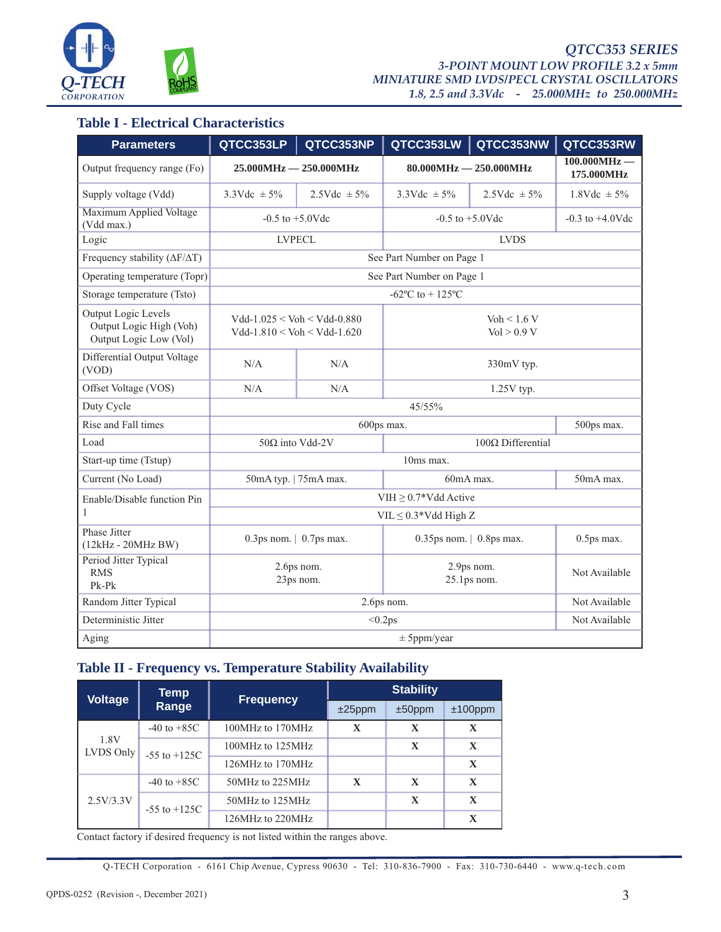

### **Table I - Electrical Characteristics**

| <b>Parameters</b>                                                        | QTCC353LP                                                      | QTCC353NP                | QTCC353LW                      | QTCC353NW                | QTCC353RW                    |
|--------------------------------------------------------------------------|----------------------------------------------------------------|--------------------------|--------------------------------|--------------------------|------------------------------|
| Output frequency range (Fo)                                              | $25.000MHz - 250.000MHz$                                       |                          | $80.000MHz - 250.000MHz$       |                          | $100.000MHz -$<br>175.000MHz |
| Supply voltage (Vdd)                                                     | $3.3 \text{Vdc} \pm 5\%$                                       | $2.5 \text{Vdc} \pm 5\%$ | $3.3 \text{Vdc} \pm 5\%$       | $2.5 \text{Vdc} \pm 5\%$ | $1.8$ Vdc $\pm$ 5%           |
| Maximum Applied Voltage<br>(Vdd max.)                                    | $-0.5$ to $+5.0$ Vdc                                           |                          | $-0.5$ to $+5.0$ Vdc           |                          | $-0.3$ to $+4.0$ Vdc         |
| Logic                                                                    | <b>LVPECL</b>                                                  |                          | <b>LVDS</b>                    |                          |                              |
| Frequency stability ( $\Delta F/\Delta T$ )                              | See Part Number on Page 1                                      |                          |                                |                          |                              |
| Operating temperature (Topr)                                             | See Part Number on Page 1                                      |                          |                                |                          |                              |
| Storage temperature (Tsto)                                               | $-62^{\circ}$ C to + 125 $^{\circ}$ C                          |                          |                                |                          |                              |
| Output Logic Levels<br>Output Logic High (Voh)<br>Output Logic Low (Vol) | $Vdd-1.025 < Voh < Vdd-0.880$<br>$Vdd-1.810 < Voh < Vdd-1.620$ |                          | $V_0 h < 1.6 V$<br>Vol > 0.9 V |                          |                              |
| Differential Output Voltage<br>(VOD)                                     | N/A                                                            | N/A                      | 330mV typ.                     |                          |                              |
| Offset Voltage (VOS)                                                     | N/A                                                            | N/A                      | $1.25V$ typ.                   |                          |                              |
| Duty Cycle                                                               | 45/55%                                                         |                          |                                |                          |                              |
| Rise and Fall times                                                      | 600ps max.<br>500ps max.                                       |                          |                                |                          |                              |
| Load                                                                     | $100Ω$ Differential<br>50 $\Omega$ into Vdd-2V                 |                          |                                |                          |                              |
| Start-up time (Tstup)                                                    | 10ms max.                                                      |                          |                                |                          |                              |
| Current (No Load)                                                        | 60mA max.<br>50mA typ.   75mA max.                             |                          | 50mA max.                      |                          |                              |
| Enable/Disable function Pin                                              | VIH $\geq$ 0.7*Vdd Active                                      |                          |                                |                          |                              |
| 1                                                                        | $VIL \leq 0.3*Vdd High Z$                                      |                          |                                |                          |                              |
| Phase Jitter<br>$(12kHz - 20MHz BW)$                                     | 0.3ps nom. $\vert$ 0.7ps max.                                  |                          | $0.35$ ps nom.   0.8ps max.    |                          | $0.5$ ps max.                |
| Period Jitter Typical<br><b>RMS</b><br>$Pk-Pk$                           | 2.6ps nom.<br>23ps nom.                                        |                          | 2.9ps nom.<br>$25.1$ ps nom.   |                          | Not Available                |
| Random Jitter Typical                                                    | 2.6ps nom.                                                     |                          |                                | Not Available            |                              |
| Deterministic Jitter                                                     | < 0.2 ps                                                       |                          |                                | Not Available            |                              |
| Aging                                                                    | ± 5 ppm/year                                                   |                          |                                |                          |                              |

### **Table II - Frequency vs. Temperature Stability Availability**

| <b>Voltage</b>    | Temp             | <b>Frequency</b> | <b>Stability</b> |              |              |
|-------------------|------------------|------------------|------------------|--------------|--------------|
|                   | Range            |                  | $±25$ ppm        | $±50$ ppm    | $±100$ ppm   |
| 1.8V<br>LVDS Only | $-40$ to $+85C$  | 100MHz to 170MHz | $\mathbf{X}$     | $\mathbf x$  | X            |
|                   | $-55$ to $+125C$ | 100MHz to 125MHz |                  | $\mathbf{X}$ | $\mathbf X$  |
|                   |                  | 126MHz to 170MHz |                  |              | $\mathbf X$  |
| 2.5V/3.3V         | $-40$ to $+85C$  | 50MHz to 225MHz  | $\mathbf{X}$     | $\mathbf x$  | $\mathbf{X}$ |
|                   | $-55$ to $+125C$ | 50MHz to 125MHz  |                  | $\mathbf{X}$ | $\mathbf X$  |
|                   |                  | 126MHz to 220MHz |                  |              | $\mathbf X$  |

Contact factory if desired frequency is not listed within the ranges above.

Q-TECH Corporation - 6161 Chip Avenue, Cypress 90630 - Tel: 310-836-7900 - Fax: 310-730-6440 - www.q-tech.com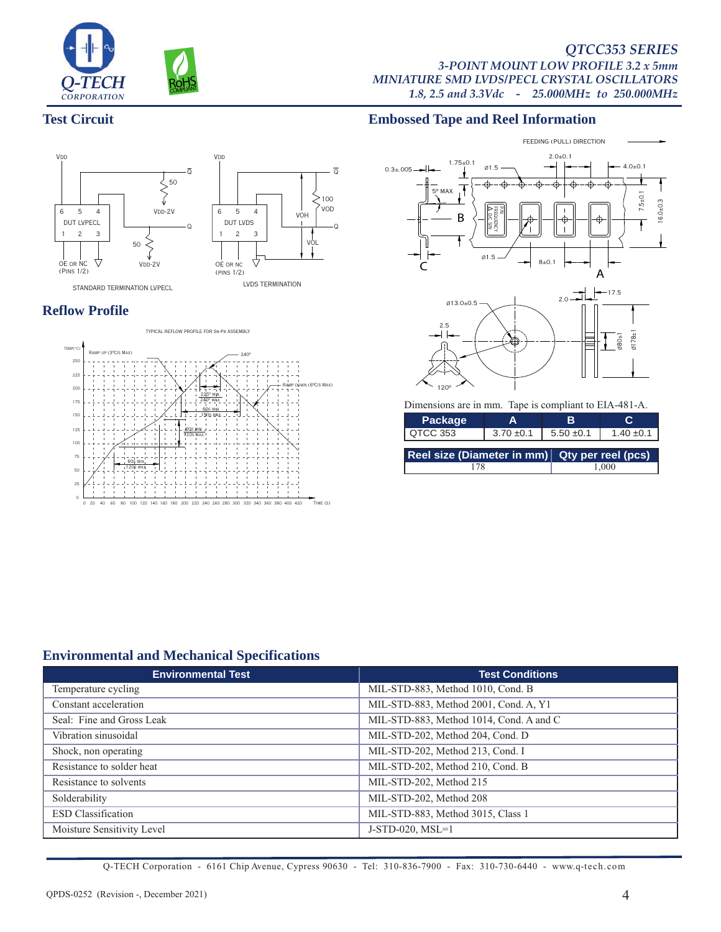

#### *QTCC353 SERIES 3-POINT MOUNT LOW PROFILE 3.2 x 5mm MINIATURE SMD LVDS/PECL CRYSTAL OSCILLATORS 1.8, 2.5 and 3.3Vdc - 25.000MHz to 250.000MHz*

### **Test Circuit**



## **Reflow Profile**



### **Embossed Tape and Reel Information**



| Package                                       | А              | R.             |                |  |
|-----------------------------------------------|----------------|----------------|----------------|--|
| QTCC 353                                      | $3.70 \pm 0.1$ | $5.50 \pm 0.1$ | $1.40 \pm 0.1$ |  |
| Reel size (Diameter in mm) Qty per reel (pcs) |                |                |                |  |
|                                               |                | .000           |                |  |

### **Environmental and Mechanical Specifications**

| <b>Environmental Test</b>  | <b>Test Conditions</b>                  |
|----------------------------|-----------------------------------------|
| Temperature cycling        | MIL-STD-883, Method 1010, Cond. B       |
| Constant acceleration      | MIL-STD-883, Method 2001, Cond. A, Y1   |
| Seal: Fine and Gross Leak  | MIL-STD-883, Method 1014, Cond. A and C |
| Vibration sinusoidal       | MIL-STD-202, Method 204, Cond. D        |
| Shock, non operating       | MIL-STD-202, Method 213, Cond. I        |
| Resistance to solder heat  | MIL-STD-202, Method 210, Cond. B        |
| Resistance to solvents     | MIL-STD-202, Method 215                 |
| Solderability              | MIL-STD-202, Method 208                 |
| <b>ESD</b> Classification  | MIL-STD-883, Method 3015, Class 1       |
| Moisture Sensitivity Level | $J-STD-020$ , $MSL=1$                   |

 $>100$ 

VOD

VOL

 $\overline{Q}$ 

Q

Q-TECH Corporation - 6161 Chip Avenue, Cypress 90630 - Tel: 310-836-7900 - Fax: 310-730-6440 - www.q-tech.com